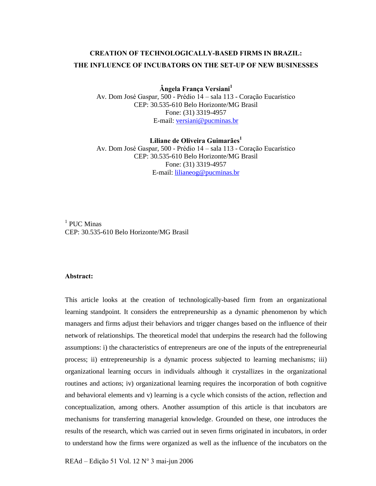# **CREATION OF TECHNOLOGICALLY-BASED FIRMS IN BRAZIL: THE INFLUENCE OF INCUBATORS ON THE SET-UP OF NEW BUSINESSES**

 $\hat{A}$ ngela França Versiani<sup>1</sup>

Av. Dom José Gaspar, 500 - Prédio 14 – sala 113 - Coração Eucarístico CEP: 30.535-610 Belo Horizonte/MG Brasil Fone: (31) 3319-4957 E-mail: [versiani@pucminas.br](mailto:versiani@pucminas.br)

 $L$ iliane de Oliveira Guimarães $^1$ Av. Dom José Gaspar, 500 - Prédio 14 - sala 113 - Coração Eucarístico CEP: 30.535-610 Belo Horizonte/MG Brasil Fone: (31) 3319-4957 E-mail: [lilianeog@pucminas.br](mailto:lilianeog@pucminas.br)

 $1$  PUC Minas CEP: 30.535-610 Belo Horizonte/MG Brasil

## **Abstract:**

This article looks at the creation of technologically-based firm from an organizational learning standpoint. It considers the entrepreneurship as a dynamic phenomenon by which managers and firms adjust their behaviors and trigger changes based on the influence of their network of relationships. The theoretical model that underpins the research had the following assumptions: i) the characteristics of entrepreneurs are one of the inputs of the entrepreneurial process; ii) entrepreneurship is a dynamic process subjected to learning mechanisms; iii) organizational learning occurs in individuals although it crystallizes in the organizational routines and actions; iv) organizational learning requires the incorporation of both cognitive and behavioral elements and v) learning is a cycle which consists of the action, reflection and conceptualization, among others. Another assumption of this article is that incubators are mechanisms for transferring managerial knowledge. Grounded on these, one introduces the results of the research, which was carried out in seven firms originated in incubators, in order to understand how the firms were organized as well as the influence of the incubators on the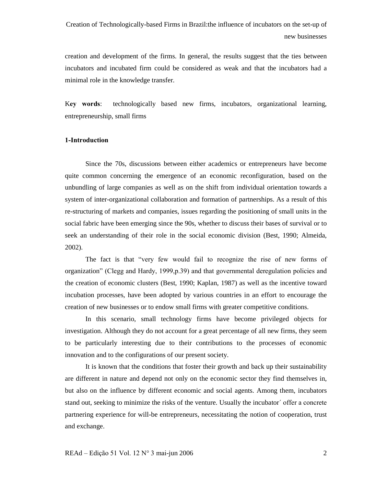creation and development of the firms. In general, the results suggest that the ties between incubators and incubated firm could be considered as weak and that the incubators had a minimal role in the knowledge transfer.

K**ey words**: technologically based new firms, incubators, organizational learning, entrepreneurship, small firms

# **1-Introduction**

Since the 70s, discussions between either academics or entrepreneurs have become quite common concerning the emergence of an economic reconfiguration, based on the unbundling of large companies as well as on the shift from individual orientation towards a system of inter-organizational collaboration and formation of partnerships. As a result of this re-structuring of markets and companies, issues regarding the positioning of small units in the social fabric have been emerging since the 90s, whether to discuss their bases of survival or to seek an understanding of their role in the social economic division (Best, 1990; Almeida, 2002).

The fact is that "very few would fail to recognize the rise of new forms of organizationî (Clegg and Hardy, 1999,p.39) and that governmental deregulation policies and the creation of economic clusters (Best, 1990; Kaplan, 1987) as well as the incentive toward incubation processes, have been adopted by various countries in an effort to encourage the creation of new businesses or to endow small firms with greater competitive conditions.

In this scenario, small technology firms have become privileged objects for investigation. Although they do not account for a great percentage of all new firms, they seem to be particularly interesting due to their contributions to the processes of economic innovation and to the configurations of our present society.

It is known that the conditions that foster their growth and back up their sustainability are different in nature and depend notonly on the economic sector they find themselves in, but also on the influence by different economic and social agents. Among them, incubators stand out, seeking to minimize the risks of the venture. Usually the incubator' offer a concrete partnering experience for will-be entrepreneurs, necessitating the notion of cooperation, trust and exchange.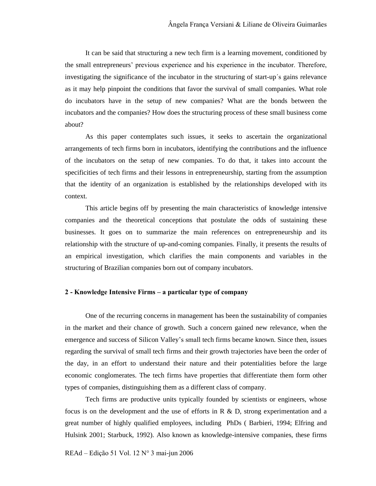It can be said that structuring a new tech firm is a learning movement, conditioned by the small entrepreneurs' previous experience and his experience in the incubator. Therefore, investigating the significance of the incubator in the structuring of start-up's gains relevance as itmay help pinpoint the conditions that favor the survival of small companies. What role do incubators have in the setup of new companies? What are the bonds between the incubators and the companies? How does the structuring process of these small business come about?

As this paper contemplates such issues, it seeks to ascertain the organizational arrangements of tech firms born in incubators, identifying the contributions and the influence of the incubators on the setup of new companies. To do that, it takes into account the specificities of tech firms and their lessons in entrepreneurship, starting from the assumption that the identity of an organization is established by the relationships developed with its context.<br>This article begins off by presenting the main characteristics of knowledge intensive

companies and the theoretical conceptions that postulate the odds of sustaining these businesses. It goes on to summarize the main references on entrepreneurship and its relationship with the structure of up-and-coming companies. Finally, it presents the results of an empirical investigation, which clarifies the main components and variables in the structuring of Brazilian companies born out of company incubators.

### **2 - Knowledge Intensive Firms ñ a particular type of company**

One of the recurring concerns in management has been the sustainability of companies in the market and their chance of growth. Such a concern gained new relevance, when the emergence and success of Silicon Valley's small tech firms became known. Since then, issues regarding the survival of small tech firms and their growth trajectories have been the order of the day, in an effort to understand their nature and their potentialities before the large economic conglomerates. The tech firms have properties that differentiate them form other types of companies, distinguishing them as a different class of company.

Tech firms are productive units typically founded by scientists or engineers, whose focus is on the development and the use of efforts in R  $\&$  D, strong experimentation and a great number of highly qualified employees, including PhDs ( Barbieri, 1994; Elfring and Hulsink 2001; Starbuck, 1992). Also known as knowledge-intensive companies, these firms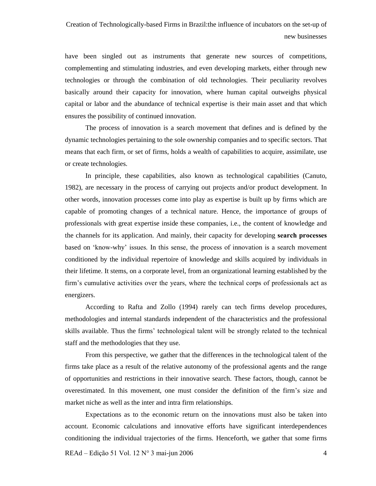have been singled out as instruments that generate new sources of competitions, complementing and stimulating industries, and even developing markets, either through new technologies or through the combination of old technologies. Their peculiarity revolves basically around their capacity for innovation, where human capital outweighs physical capital or labor and the abundance of technical expertise is their main asset and that which ensures the possibility of continued innovation.

The process of innovation is a search movement that defines and is defined by the dynamic technologies pertaining to the sole ownership companies and to specific sectors. That means that each firm, or set of firms, holds a wealth of capabilities to acquire, assimilate, use or create technologies.

In principle, these capabilities, also known as technological capabilities (Canuto, 1982), are necessary in the process of carrying out projects and/or product development. In other words, innovation processes come into play as expertise is built up by firms which are capable of promoting changes of a technical nature. Hence, the importance of groups of professionals with great expertise inside these companies, i.e., the content of knowledge and the channels for its application. And mainly, their capacity for developing **search processes** based on ëknow-whyí issues. In this sense, the process of innovation is a search movement conditioned by the individual repertoire of knowledge and skills acquired by individuals in their lifetime. It stems, on a corporate level, from an organizational learning established by the firm's cumulative activities over the years, where the technical corps of professionals act as energizers.

According to Rafta and Zollo (1994) rarely can tech firms develop procedures, methodologies and internal standards independent of the characteristics and the professional skills available. Thus the firms' technological talent will be strongly related to the technical staff and the methodologies that they use.<br>From this perspective, we gather that the differences in the technological talent of the

firms take place as a result of the relative autonomy of the professional agents and the range of opportunities and restrictions in their innovative search. These factors, though, cannot be overestimated. In this movement, one must consider the definition of the firmís size and market niche as well as the inter and intra firm relationships.

Expectations as to the economic return on the innovations must also be taken into account. Economic calculations and innovative efforts have significant interdependences conditioning the individual trajectories of the firms. Henceforth, we gather that some firms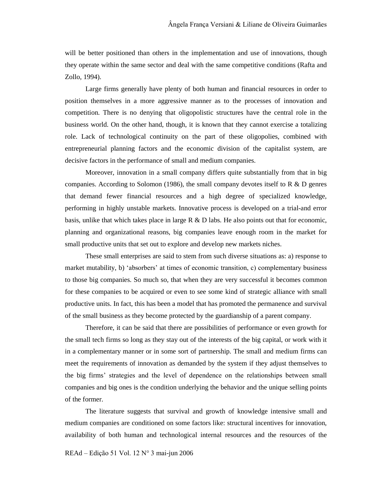will be better positioned than others in the implementation and use of innovations, though they operate within the same sector and deal with the same competitive conditions (Rafta and Zollo, 1994).

Large firms generally have plenty of both human and financial resources in order to position themselves in a more aggressive manner as to the processes of innovation and competition. There is no denying that oligopolistic structures have the central role in the business world. On the other hand, though, it is known that they cannot exercise a totalizing role. Lack of technological continuity on the part of these oligopolies, combined with entrepreneurial planning factors and the economic division of the capitalist system, are decisive factors in the performance of small and medium companies.

Moreover, innovation in a small company differs quite substantially from that in big companies. According to Solomon (1986), the small company devotes itself to  $R \& D$  genres that demand fewer financial resources and a high degree of specialized knowledge, performing in highly unstable markets. Innovative process is developed on a trial-and error basis, unlike that which takes place in large R & D labs. He also points out that for economic, planning and organizational reasons, big companies leave enough room in the market for small productive units that set out to explore and develop new markets niches.

These small enterprises are said to stem from such diverse situations as: a) response to market mutability, b) 'absorbers' at times of economic transition, c) complementary business to those big companies. So much so, that when they are very successful it becomes common for these companies to be acquired or even to see some kind of strategic alliance with small productive units. In fact, this has been a model that has promoted the permanence and survival of the small business as they become protected by the guardianship of a parent company.

Therefore, it can be said that there are possibilities of performance or even growth for the small tech firms so long as they stay out of the interests of the big capital, or work with it in a complementary manner or in some sort of partnership. The small and medium firms can meet the requirements of innovation as demanded by the system if they adjust themselves to the big firmsí strategies and the level of dependence on the relationships between small companies and big ones is the condition underlying the behavior and the unique selling points of the former.

The literature suggests that survival and growth of knowledge intensive small and medium companies are conditioned on some factors like: structural incentives for innovation, availability of both human and technological internal resources and the resources of the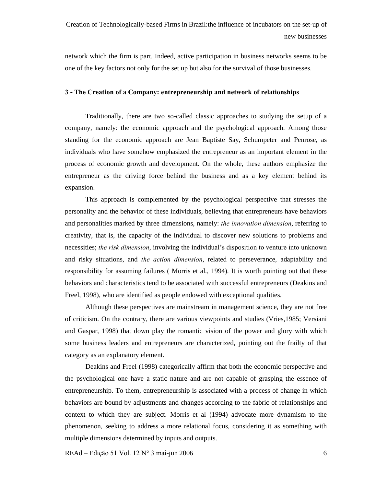network which the firm is part. Indeed, active participation in business networks seems to be one of the key factors not only for the set up but also for the survival of those businesses.

## **3 - The Creation of a Company: entrepreneurship and network of relationships**

Traditionally, there are two so-called classic approaches to studying the setup of a company, namely: the economic approach and the psychological approach. Among those standing for the economic approach are Jean Baptiste Say, Schumpeter and Penrose, as individuals who have somehow emphasized the entrepreneur as an important element in the process of economic growth and development. On the whole, these authors emphasize the entrepreneur as the driving force behind the business and as a key element behind its expansion.

This approach is complemented by the psychological perspective that stresses the personality and the behavior of these individuals, believing that entrepreneurs have behaviors and personalities marked by three dimensions, namely: *the innovation dimension*, referring to creativity, that is, the capacity of the individual to discover new solutions to problems and necessities; *the risk dimension*, involving the individual's disposition to venture into unknown and risky situations, and the action dimension, related to perseverance, adaptability and responsibility for assuming failures ( Morris et al., 1994). It is worth pointing outthat these behaviors and characteristics tend to be associated with successful entrepreneurs (Deakins and Freel, 1998), who are identified as people endowed with exceptional qualities.

Although these perspectives are mainstream in management science, they are not free of criticism. On the contrary, there are various viewpoints and studies (Vries,1985; Versiani and Gaspar, 1998) that down play the romantic vision of the power and glory with which some business leaders and entrepreneurs are characterized, pointing out the frailty of that category as an explanatory element.

Deakins and Freel (1998) categorically affirm that both the economic perspective and the psychological one have a static nature and are not capable of grasping the essence of entrepreneurship. To them, entrepreneurship is associated with a process of change in which behaviors are bound by adjustments and changes according to the fabric of relationships and context to which they are subject. Morris et al (1994) advocate more dynamism to the phenomenon, seeking to address a more relational focus, considering it as something with multiple dimensions determined by inputs and outputs.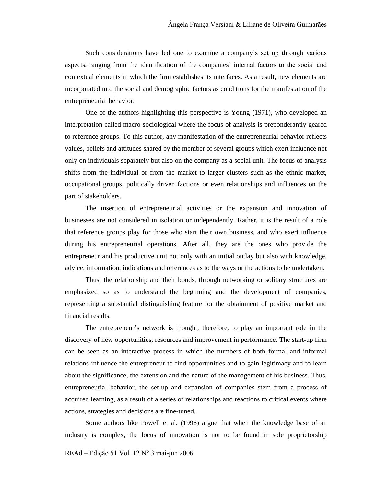Such considerations have led one to examine a companyís set up through various aspects, ranging from the identification of the companies' internal factors to the social and contextual elements in which the firm establishes its interfaces. As a result, new elements are incorporated into the social and demographic factors as conditions for the manifestation of the entrepreneurial behavior.

One of the authors highlighting this perspective is Young (1971), who developed an interpretation called macro-sociological where the focus of analysis is preponderantly geared to reference groups. To this author, any manifestation of the entrepreneurial behavior reflects values, beliefs and attitudes shared by the member of several groups which exert influence not only on individuals separately but also on the company as a social unit. The focus of analysis shifts from the individual or from the market to larger clusters such as the ethnic market, occupational groups, politically driven factions or even relationships and influences on the part of stakeholders.

The insertion of entrepreneurial activities or the expansion and innovation of businesses are not considered in isolation orindependently. Rather, it is the result of a role that reference groups play for those who start their own business, and who exert influence during his entrepreneurial operations. After all, they are the ones who provide the entrepreneur and his productive unit not only with an initial outlay but also with knowledge, advice, information, indications and references as to the ways or the actions to be undertaken.

Thus, the relationship and their bonds, through networking orsolitary structures are emphasized so as to understand the beginning and the development of companies, representing a substantial distinguishing feature for the obtainment of positive market and financial results.

The entrepreneur's network is thought, therefore, to play an important role in the discovery of new opportunities, resources and improvement in performance. The start-up firm can be seen as an interactive process in which the numbers of both formal and informal relations influence the entrepreneur to find opportunities and to gain legitimacy and to learn about the significance, the extension and the nature of the management of his business. Thus, entrepreneurial behavior, the set-up and expansion of companies stem from a process of acquired learning, as a result of a series of relationships and reactions to critical events where actions, strategies and decisions are fine-tuned.

Some authors like Powell et al. (1996) argue that when the knowledge base of an industry is complex, the locus of innovation is not to be found in sole proprietorship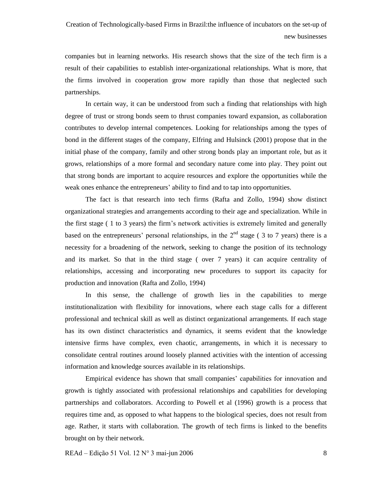companies but in learning networks. His research shows that the size of the tech firm is a result of their capabilities to establish inter-organizational relationships. What is more, that the firms involved in cooperation grow more rapidly than those that neglected such partnerships.

In certain way, it can be understood from such a finding that relationships with high degree of trust or strong bonds seem to thrust companies toward expansion, as collaboration contributes to develop internal competences. Looking for relationships among the types of bond in the different stages of the company, Elfring and Hulsinck (2001) propose that in the initial phase of the company, family and other strong bonds play an important role, but as it grows, relationships of a more formal and secondary nature come into play. They point out that strong bonds are important to acquire resources and explore the opportunities while the weak ones enhance the entrepreneurs' ability to find and to tap into opportunities.

The fact is that research into tech firms (Rafta and Zollo, 1994) show distinct organizational strategies and arrangements according to their age and specialization. While in the first stage ( 1 to 3 years) the firmís network activities is extremely limited and generally based on the entrepreneurs' personal relationships, in the  $2<sup>nd</sup>$  stage (3 to 7 years) there is a necessity for a broadening of the network, seeking to change the position of its technology and its market. So that in the third stage ( over 7 years) it can acquire centrality of relationships, accessing and incorporating new procedures to support its capacity for production and innovation (Rafta and Zollo, 1994)

In this sense, the challenge of growth lies in the capabilities to merge institutionalization with flexibility for innovations, where each stage calls for a different professional and technical skill as well as distinct organizational arrangements. If each stage has its own distinct characteristics and dynamics, it seems evident that the knowledge intensive firms have complex, even chaotic, arrangements, in which it is necessary to consolidate central routines around loosely planned activities with the intention of accessing information and knowledge sources available in its relationships.

Empirical evidence has shown that small companies' capabilities for innovation and growth is tightly associated with professional relationships and capabilities for developing partnerships and collaborators. According to Powell et al (1996) growth is a process that requires time and, as opposed to what happens to the biological species, does not result from age. Rather, it starts with collaboration. The growth of tech firms is linked to the benefits brought on by their network.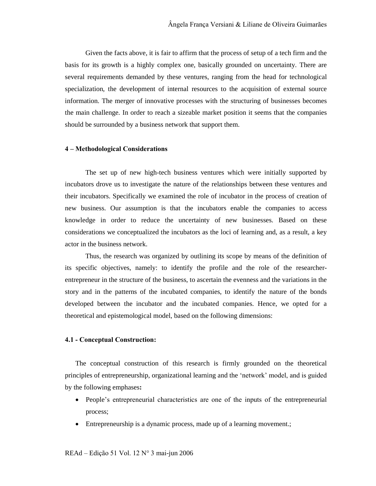Given the facts above, it is fair to affirm that the process of setup of a tech firm and the basis for its growth is a highly complex one, basically grounded on uncertainty. There are several requirements demanded by these ventures, ranging from the head for technological specialization, the development of internal resources to the acquisition of external source information. The merger of innovative processes with the structuring of businesses becomes the main challenge. In order to reach a sizeable market position it seems that the companies should be surrounded by a business network that support them.

### **4 ñ Methodological Considerations**

The set up of new high-tech business ventures which were initially supported by incubators drove us to investigate the nature of the relationships between these ventures and their incubators. Specifically we examined the role of incubator in the process of creation of new business. Our assumption is that the incubators enable the companies to access knowledge in order to reduce the uncertainty of new businesses. Based on these considerations we conceptualized the incubators as the loci of learning and, as a result, a key actor in the business network.

Thus, the research was organized by outlining its scope by means of the definition of its specific objectives, namely: to identify the profile and the role of the researcher entrepreneur in the structure of the business, to ascertain the evenness and the variations in the story and in the patterns of the incubated companies, to identify the nature of the bonds developed between the incubator and the incubated companies. Hence, we opted for a theoretical and epistemological model, based on the following dimensions:

#### **4.1 - Conceptual Construction:**

The conceptual construction of this research is firmly grounded on the theoretical principles of entrepreneurship, organizational learning and the 'network' model, and is guided by the following emphases**:**

- People's entrepreneurial characteristics are one of the inputs of the entrepreneurial process;
- Entrepreneurship is a dynamic process, made up of a learning movement.;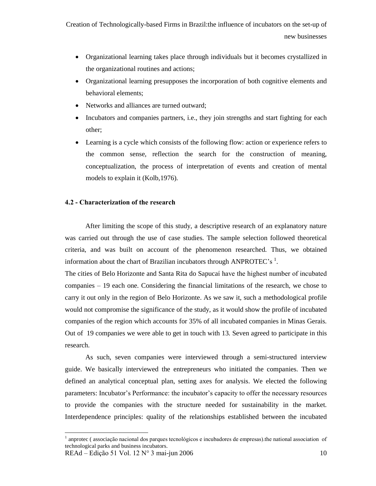- Organizational learning takes place through individuals but it becomes crystallized in the organizational routines and actions;
- Organizational learning presupposes the incorporation of both cognitive elements and behavioral elements;
- Networks and alliances are turned outward;
- Incubators and companies partners, i.e., they join strengths and start fighting for each other;
- Learning is a cycle which consists of the following flow: action or experience refers to the common sense, reflection the search for the construction of meaning, conceptualization, the process of interpretation of events and creation of mental models to explain it (Kolb,1976).

# **4.2 - Characterization of the research**

After limiting the scope of this study, a descriptive research of an explanatory nature was carried out through the use of case studies. The sample selection followed theoretical criteria, and was built on account of the phenomenon researched. Thus, we obtained information about the chart of Brazilian incubators through ANPROTEC's  $^1$ .

The cities of Belo Horizonte and Santa Rita do Sapucaí have the highest number of incubated companies  $-19$  each one. Considering the financial limitations of the research, we chose to carry it out only in the region of Belo Horizonte. As we saw it, such a methodological profile would not compromise the significance of the study, as itwould show the profile of incubated companies of the region which accounts for 35% of all incubated companies in Minas Gerais. Out of 19 companies we were able to get in touch with 13. Seven agreed to participate in this research.<br>As such, seven companies were interviewed through a semi-structured interview

guide. We basically interviewed the entrepreneurs who initiated the companies. Then we defined an analytical conceptual plan, setting axes for analysis. We elected the following parameters: Incubator's Performance: the incubator's capacity to offer the necessary resources to provide the companies with the structure needed for sustainability in the market. Interdependence principles: quality of the relationships established between the incubated

 $<sup>1</sup>$  anprotec (associação nacional dos parques tecnológicos e incubadores de empresas).the national association of</sup> technological parks and business incubators.

 $REAd - Edição 51 Vol. 12 N° 3 mai-jun 2006$  10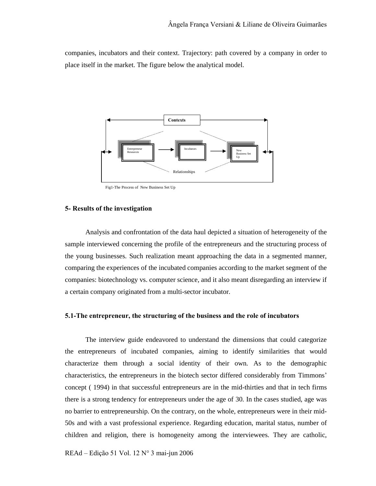companies, incubators and their context. Trajectory: path covered by a company in order to place itself in the market. The figure below the analytical model.



Fig1-The Process of New Business Set Up

#### **5- Results of the investigation**

Analysis and confrontation of the data haul depicted a situation of heterogeneity of the sample interviewed concerning the profile of the entrepreneurs and the structuring process of the young businesses. Such realization meant approaching the data in a segmented manner, comparing the experiences of the incubated companies according to the market segment of the companies: biotechnology vs. computer science, and it also meant disregarding an interview if a certain company originated from a multi-sector incubator.

#### **5.1-The entrepreneur, the structuring of the business and the role of incubators**

The interview guide endeavored to understand the dimensions that could categorize the entrepreneurs of incubated companies, aiming to identify similarities that would characterize them through a social identity of their own. As to the demographic characteristics, the entrepreneurs in the biotech sector differed considerably from Timmons' concept ( 1994) in that successful entrepreneurs are in the mid-thirties and that in tech firms there is a strong tendency for entrepreneurs under the age of 30. In the cases studied, age was no barrier to entrepreneurship. On the contrary, on the whole, entrepreneurs were in their mid- 50s and with a vast professional experience. Regarding education, marital status, number of children and religion, there is homogeneity among the interviewees. They are catholic,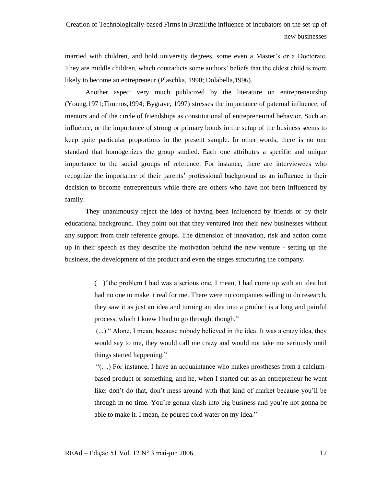married with children, and hold university degrees, some even a Master's or a Doctorate. They are middle children, which contradicts some authors' beliefs that the eldest child is more likely to become an entrepreneur (Plaschka, 1990; Dolabella,1996).

Another aspect very much publicized by the literature on entrepreneurship (Young,1971;Timmos,1994; Bygrave, 1997) stresses the importance of paternal influence, of mentors and of the circle of friendships as constitutional of entrepreneurial behavior. Such an influence, or the importance of strong or primary bonds in the setup of the business seems to keep quite particular proportions in the present sample. In other words, there is no one standard that homogenizes the group studied. Each one attributes a specific and unique importance to the social groups of reference. For instance, there are interviewees who recognize the importance of their parents' professional background as an influence in their decision to become entrepreneurs while there are others who have not been influenced by family.<br>They unanimously reject the idea of having been influenced by friends or by their

educational background. They point out that they ventured into their new businesses without any support from their reference groups. The dimension of innovation, risk and action come up in their speech as they describe the motivation behind the new venture - setting up the business, the development of the product and even the stages structuring the company.

> $($ )" the problem I had was a serious one, I mean, I had come up with an idea but had no one to make it real for me. There were no companies willing to do research, they saw it as just an idea and turning an idea into a product is a long and painful process, which I knew I had to go through, though."

> (...) " Alone, I mean, because nobody believed in the idea. It was a crazy idea, they would say to me, they would call me crazy and would not take me seriously until things started happening."

> $\lq\lq$ (...) For instance, I have an acquaintance who makes prostheses from a calciumbased product or something, and he, when I started outas an entrepreneur he went like: don't do that, don't mess around with that kind of market because you'll be through in no time. You're gonna clash into big business and you're not gonna be able to make it. I mean, he poured cold water on my idea."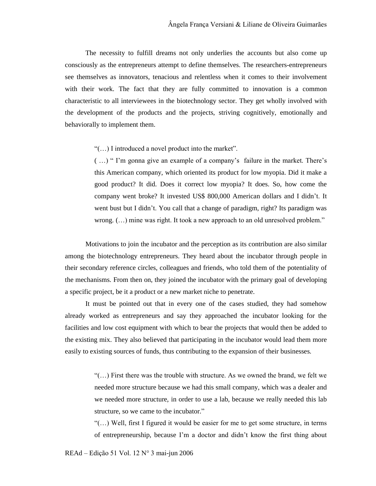The necessity to fulfill dreams not only underlies the accounts but also come up consciously as the entrepreneurs attempt to define themselves. The researchers-entrepreneurs see themselves as innovators, tenacious and relentless when it comes to their involvement with their work. The fact that they are fully committed to innovation is a common characteristic to all interviewees in the biotechnology sector. They get wholly involved with the development of the products and the projects, striving cognitively, emotionally and behaviorally to implement them.

 $\lq\lq$ (...) I introduced a novel product into the market".

 $(\ldots)$  "I'm gonna give an example of a company's failure in the market. There's this American company, which oriented its product for low myopia. Did it make a good product? It did. Does it correct low myopia? It does. So, how come the company went broke? It invested US\$ 800,000 American dollars and I didn't. It went bust but I didn't. You call that a change of paradigm, right? Its paradigm was wrong.  $(\ldots)$  mine was right. It took a new approach to an old unresolved problem."

Motivations to join the incubator and the perception as its contribution are also similar among the biotechnology entrepreneurs. They heard about the incubator through people in their secondary reference circles, colleagues and friends, who told them of the potentiality of the mechanisms. From then on, they joined the incubator with the primary goal of developing a specific project, be it a product or a new market niche to penetrate.

It must be pointed out that in every one of the cases studied, they had somehow already worked as entrepreneurs and say they approached the incubator looking for the facilities and low cost equipment with which to bear the projects that would then be added to the existing mix. They also believed that participating in the incubator would lead them more easily to existing sources of funds, thus contributing to the expansion of their businesses.

> $\lq\lq\lq\lq\lq\lq\lq\lq\lq\lq\lq\lq\lq$  first there was the trouble with structure. As we owned the brand, we felt we needed more structure because we had this small company, which was a dealer and we needed more structure, in order to use a lab, because we really needed this lab structure, so we came to the incubator."

> $\lq(\ldots)$  Well, first I figured it would be easier for me to get some structure, in terms of entrepreneurship, because I'm a doctor and didn't know the first thing about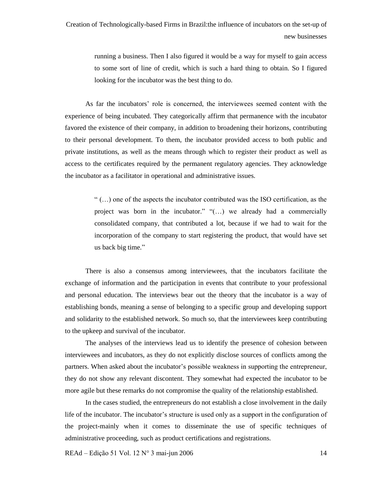running a business. Then I also figured it would be a way for myself to gain access to some sort of line of credit, which is such a hard thing to obtain. So I figured looking for the incubator was the best thing to do.

As far the incubators' role is concerned, the interviewees seemed content with the experience of being incubated. They categorically affirm that permanence with the incubator favored the existence of their company, in addition to broadening their horizons, contributing to their personal development. To them, the incubator provided access to both public and private institutions, as well as the means through which to register their product as well as access to the certificates required by the permanent regulatory agencies. They acknowledge the incubator as a facilitator in operational and administrative issues.

> $\dots$ ) one of the aspects the incubator contributed was the ISO certification, as the project was born in the incubator." " $\dots$ ) we already had a commercially consolidated company, that contributed a lot, because if we had to wait for the incorporation of the company to start registering the product, that would have set us back big time."

There is also a consensus among interviewees, that the incubators facilitate the exchange of information and the participation in events that contribute to your professional and personal education. The interviews bear out the theory that the incubator is a way of establishing bonds, meaning a sense of belonging to a specific group and developing support and solidarity to the established network. So much so, that the interviewees keep contributing to the upkeep and survival of the incubator.

The analyses of the interviews lead us to identify the presence of cohesion between interviewees and incubators, as they do notexplicitly disclose sources of conflicts among the partners. When asked about the incubator's possible weakness in supporting the entrepreneur, they do not show any relevant discontent. They somewhat had expected the incubator to be more agile but these remarks do not compromise the quality of the relationship established.

In the cases studied, the entrepreneurs do not establish a close involvement in the daily life of the incubator. The incubator's structure is used only as a support in the configuration of the project-mainly when it comes to disseminate the use of specific techniques of administrative proceeding, such as product certifications and registrations.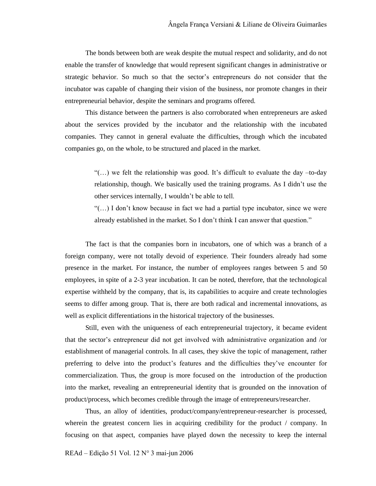The bonds between both are weak despite the mutual respect and solidarity, and do not enable the transfer of knowledge that would represent significant changes in administrative or strategic behavior. So much so that the sector's entrepreneurs do not consider that the incubator was capable of changing their vision of the business, nor promote changes in their entrepreneurial behavior, despite the seminars and programs offered.

This distance between the partners is also corroborated when entrepreneurs are asked about the services provided by the incubator and the relationship with the incubated companies. They cannot in general evaluate the difficulties, through which the incubated companies go, on the whole, to be structured and placed in the market.

> ì(Ö) we felt the relationship was good. Itís difficult to evaluate the day ñto-day relationship, though. We basically used the training programs. As I didn't use the other services internally, I wouldn't be able to tell.<br>"( $\dots$ ) I don't know because in fact we had a partial type incubator, since we were

> already established in the market. So I don't think I can answer that question."

The fact is that the companies born in incubators, one of which was a branch of a foreign company, were not totally devoid of experience. Their founders already had some presence in the market. For instance, the number of employees ranges between 5 and 50 employees, in spite of a 2-3 year incubation. It can be noted, therefore, that the technological expertise withheld by the company, that is, its capabilities to acquire and create technologies seems to differ among group. That is, there are both radical and incremental innovations, as well as explicit differentiations in the historical trajectory of the businesses.

Still, even with the uniqueness of each entrepreneurial trajectory, it became evident that the sector's entrepreneur did not get involved with administrative organization and /or establishment of managerial controls. In all cases, they skive the topic of management, rather preferring to delve into the product's features and the difficulties they've encounter for commercialization. Thus, the group is more focused on the introduction of the production into the market, revealing an entrepreneurial identity that is grounded on the innovation of product/process, which becomes credible through the image of entrepreneurs/researcher.

Thus, an alloy of identities, product/company/entrepreneur-researcher is processed, wherein the greatest concern lies in acquiring credibility for the product / company. In focusing on that aspect, companies have played down the necessity to keep the internal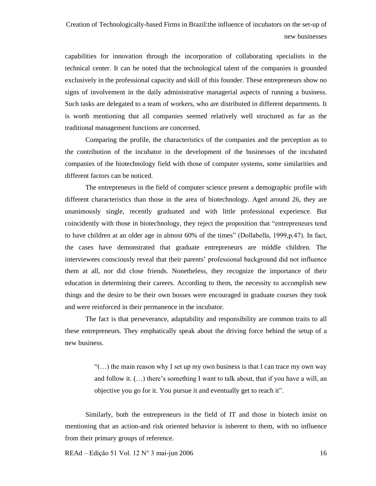capabilities for innovation through the incorporation of collaborating specialists in the technical center. It can be noted that the technological talent of the companies is grounded exclusively in the professional capacity and skill of this founder. These entrepreneurs show no signs of involvement in the daily administrative managerial aspects of running a business. Such tasks are delegated to a team of workers, who are distributed in different departments. It is worth mentioning that all companies seemed relatively well structured as far as the traditional management functions are concerned.

Comparing the profile, the characteristics of the companies and the perception as to the contribution of the incubator in the development of the businesses of the incubated companies of the biotechnology field with those of computer systems, some similarities and different factors can be noticed.

The entrepreneurs in the field of computer science present a demographic profile with different characteristics than those in the area of biotechnology. Aged around 26, they are unanimously single, recently graduated and with little professional experience. But coincidently with those in biotechnology, they reject the proposition that "entrepreneurs tend" to have children at an older age in almost  $60\%$  of the times" (Dollabella, 1999, p.47). In fact, the cases have demonstrated that graduate entrepreneurs are middle children. The interviewees consciously reveal that their parents' professional background did not influence them at all, nor did close friends. Nonetheless, they recognize the importance of their education in determining their careers. According to them, the necessity to accomplish new things and the desire to be their own bosses were encouraged in graduate courses they took and were reinforced in their permanence in the incubator.

The fact is that perseverance, adaptability and responsibility are common traits to all these entrepreneurs. They emphatically speak about the driving force behind the setup of a new business.

> ì(Ö) the main reason why I set up my own business is that I can trace my own way and follow it.  $(\ldots)$  there's something I want to talk about, that if you have a will, an objective you go for it. You pursue it and eventually get to reach it".

Similarly, both the entrepreneurs in the field of IT and those in biotech insist on mentioning that an action-and risk oriented behavior is inherent to them, with no influence from their primary groups of reference.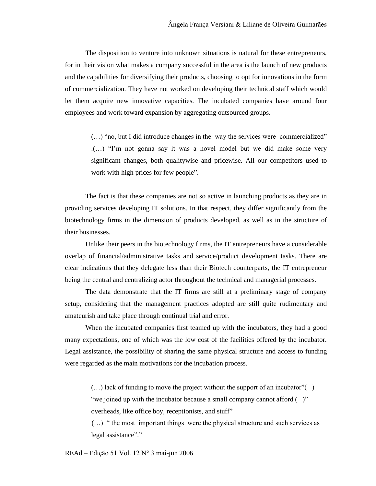The disposition to venture into unknown situations is natural for these entrepreneurs, for in their vision what makes a company successful in the area is the launch of new products and the capabilities for diversifying their products, choosing to opt for innovations in the form of commercialization. They have not worked on developing their technical staff which would let them acquire new innovative capacities. The incubated companies have around four employees and work toward expansion by aggregating outsourced groups.

 $(\ldots)$  "no, but I did introduce changes in the way the services were commercialized" (...) "I'm not gonna say it was a novel model but we did make some very significant changes, both qualitywise and pricewise. All our competitors used to work with high prices for few people".

The fact is that these companies are not so active in launching products as they are in providing services developing IT solutions. In that respect, they differ significantly from the biotechnology firms in the dimension of products developed, as well as in the structure of their businesses.

Unlike their peers in the biotechnology firms, the IT entrepreneurs have a considerable overlap of financial/administrative tasks and service/product development tasks. There are clear indications that they delegate less than their Biotech counterparts, the IT entrepreneur being the central and centralizing actor throughout the technical and managerial processes.

The data demonstrate that the IT firms are still at a preliminary stage of company setup, considering that the management practices adopted are still quite rudimentary and amateurish and take place through continual trial and error.

When the incubated companies first teamed up with the incubators, they had a good many expectations, one of which was the low cost of the facilities offered by the incubator. Legal assistance, the possibility of sharing the same physical structure and access to funding were regarded as the main motivations for the incubation process.

 $(\ldots)$  lack of funding to move the project without the support of an incubator" $(\cdot)$ "we joined up with the incubator because a small company cannot afford  $( )$ " overheads, like office boy, receptionists, and stuff"

 $(\ldots)$  " the most important things were the physical structure and such services as legal assistance"."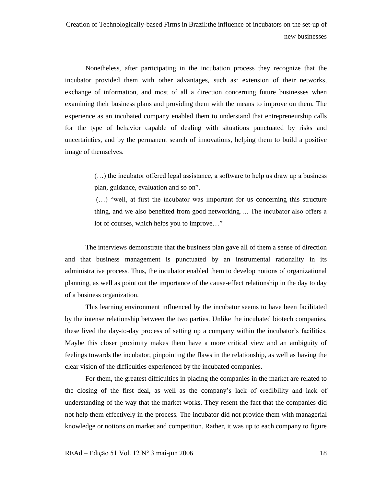Nonetheless, after participating in the incubation process they recognize that the incubator provided them with other advantages, such as: extension of their networks, exchange of information, and most of all a direction concerning future businesses when examining their business plans and providing them with the means to improve on them. The experience as an incubated company enabled them to understand that entrepreneurship calls for the type of behavior capable of dealing with situations punctuated by risks and uncertainties, and by the permanent search of innovations, helping them to build a positive image of themselves.

> $(\ldots)$  the incubator offered legal assistance, a software to help us draw up a business plan, guidance, evaluation and so on".

> $(\ldots)$  "well, at first the incubator was important for us concerning this structure thing, and we also benefited from good networking $\ldots$ . The incubator also offers a lot of courses, which helps you to improve..."

The interviews demonstrate that the business plan gave all of them a sense of direction and that business management is punctuated by an instrumental rationality in its administrative process. Thus, the incubator enabled them to develop notions of organizational planning, as well as point out the importance of the cause-effect relationship in the day to day of a business organization.

This learning environment influenced by the incubator seems to have been facilitated by the intense relationship between the two parties. Unlike the incubated biotech companies, these lived the day-to-day process of setting up a company within the incubator's facilities. Maybe this closer proximity makes them have a more critical view and an ambiguity of feelings towards the incubator, pinpointing the flaws in the relationship, as well as having the clear vision of the difficulties experienced by the incubated companies.

For them, the greatest difficulties in placing the companies in the market are related to the closing of the first deal, as well as the company's lack of credibility and lack of understanding of the way that the market works. They resent the fact that the companies did not help them effectively in the process. The incubator did not provide them with managerial knowledge or notions on market and competition. Rather, it was up to each company to figure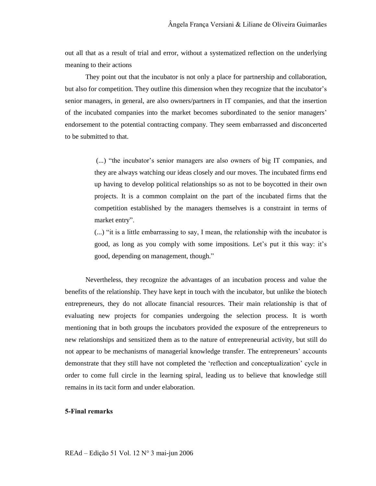out all that as a result of trial and error, without a systematized reflection on the underlying meaning to their actions

They point out that the incubator is not only a place for partnership and collaboration, but also for competition. They outline this dimension when they recognize that the incubator's senior managers, in general, are also owners/partners in IT companies, and that the insertion of the incubated companies into the market becomes subordinated to the senior managers' endorsement to the potential contracting company. They seem embarrassed and disconcerted to be submitted to that.

> (...) "the incubator's senior managers are also owners of big IT companies, and they are always watching our ideas closely and our moves. The incubated firms end up having to develop political relationships so as not to be boycotted in their own projects. It is a common complaint on the part of the incubated firms that the competition established by the managers themselves is a constraint in terms of market entry".

> $\dots$ ) "it is a little embarrassing to say, I mean, the relationship with the incubator is good, as long as you comply with some impositions. Let's put it this way: it's good, depending on management, though."

Nevertheless, they recognize the advantages of an incubation process and value the benefits of the relationship. They have kept in touch with the incubator, but unlike the biotech entrepreneurs, they do not allocate financial resources. Their main relationship is that of evaluating new projects for companies undergoing the selection process. It is worth mentioning that in both groups the incubators provided the exposure of the entrepreneurs to new relationships and sensitized them as to the nature of entrepreneurial activity, but still do not appear to be mechanisms of managerial knowledge transfer. The entrepreneurs' accounts demonstrate that they still have not completed the 'reflection and conceptualization' cycle in order to come full circle in the learning spiral, leading us to believe that knowledge still remains in its tacit form and under elaboration.

### **5-Final remarks**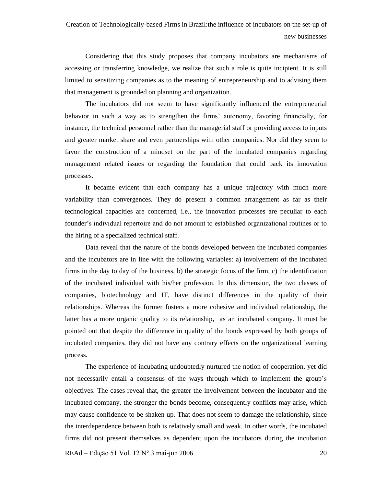Considering that this study proposes that company incubators are mechanisms of accessing or transferring knowledge, we realize that such a role is quite incipient. It is still limited to sensitizing companies as to the meaning of entrepreneurship and to advising them that management is grounded on planning and organization.

The incubators did not seem to have significantly influenced the entrepreneurial behavior in such a way as to strengthen the firms' autonomy, favoring financially, for instance, the technical personnel rather than the managerial staff or providing access to inputs and greater market share and even partnerships with other companies. Nor did they seem to favor the construction of a mindset on the part of the incubated companies regarding management related issues or regarding the foundation that could back its innovation processes.

It became evident that each company has a unique trajectory with much more variability than convergences. They do present a common arrangement as far as their technological capacities are concerned, i.e., the innovation processes are peculiar to each founder's individual repertoire and do not amount to established organizational routines or to the hiring of a specialized technical staff.

Data reveal that the nature of the bonds developed between the incubated companies and the incubators are in line with the following variables: a) involvement of the incubated firms in the day to day of the business, b) the strategic focus of the firm, c) the identification of the incubated individual with his/her profession. In this dimension, the two classes of companies, biotechnology and IT, have distinct differences in the quality of their relationships. Whereas the former fosters a more cohesive and individual relationship, the latter has a more organic quality to its relationship**,** as an incubated company. It must be pointed out that despite the difference in quality of the bonds expressed by both groups of incubated companies, they did not have any contrary effects on the organizational learning process.<br>The experience of incubating undoubtedly nurtured the notion of cooperation, yet did

not necessarily entail a consensus of the ways through which to implement the group's objectives. The cases reveal that, the greater the involvement between the incubator and the incubated company, the stronger the bonds become, consequently conflicts may arise, which may cause confidence to be shaken up. That does not seem to damage the relationship, since the interdependence between both is relatively small and weak. In other words, the incubated firms did not present themselves as dependent upon the incubators during the incubation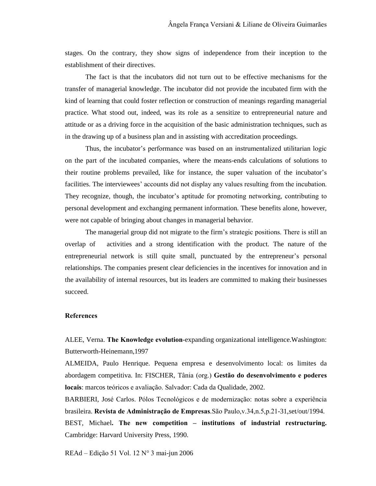stages. On the contrary, they show signs of independence from their inception to the establishment of their directives.

The fact is that the incubators did not turn out to be effective mechanisms for the transfer of managerial knowledge. The incubator did notprovide the incubated firm with the kind of learning that could foster reflection or construction of meanings regarding managerial practice. What stood out, indeed, was its role as a sensitize to entrepreneurial nature and attitude or as a driving force in the acquisition of the basic administration techniques, such as in the drawing up of a business plan and in assisting with accreditation proceedings.

Thus, the incubator's performance was based on an instrumentalized utilitarian logic on the part of the incubated companies, where the means-ends calculations of solutions to their routine problems prevailed, like for instance, the super valuation of the incubator's facilities. The interviewees' accounts did not display any values resulting from the incubation. They recognize, though, the incubator's aptitude for promoting networking, contributing to personal development and exchanging permanent information. These benefits alone, however, were not capable of bringing about changes in managerial behavior.

The managerial group did not migrate to the firm's strategic positions. There is still an overlap of activities and a strong identification with the product. The nature of the entrepreneurial network is still quite small, punctuated by the entrepreneur's personal relationships. The companies present clear deficiencies in the incentives for innovation and in the availability of internal resources, but its leaders are committed to making their businesses succeed.

#### **References**

ALEE, Verna. **The Knowledge evolution**-expanding organizational intelligence.Washington: Butterworth-Heinemann,1997

ALMEIDA, Paulo Henrique. Pequena empresa e desenvolvimento local: os limites da abordagem competitiva. In: FISCHER, Tânia (org.) **Gestão do desenvolvimento e poderes locais**: marcos teóricos e avaliação. Salvador: Cada da Qualidade, 2002.

BARBIERI, José Carlos. Pólos Tecnológicos e de modernização: notas sobre a experiência brasileira. **Revista de AdministraÁ"o de Empresas**.S"o Paulo,v.34,n.5,p.21-31,set/out/1994.

BEST, Michael**. The new competition ñ institutions of industrial restructuring.** Cambridge: Harvard University Press, 1990.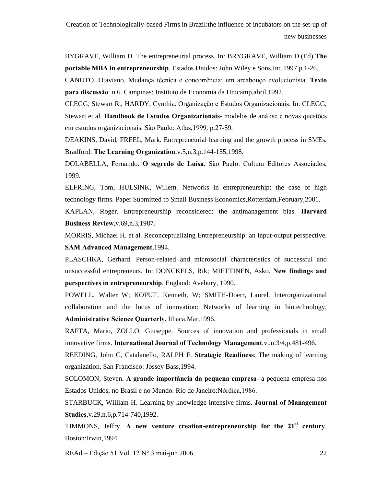BYGRAVE, William D. The entrepreneurial process. In: BRYGRAVE, William D.(Ed) **The portable MBA in entrepreneurship**. Estados Unidos: John Wiley e Sons,Inc.1997.p.1-26.

CANUTO, Otaviano. Mudança técnica e concorrência: um arcabouço evolucionista. Texto **para discuss"o** n.6. Campinas: Instituto de Economia da Unicamp,abril,1992.

CLEGG, Stewart R., HARDY, Cynthia. Organização e Estudos Organizacionais. In: CLEGG, **Stewart et al. Handbook de Estudos Organizacionais-** modelos de análise e novas questões em estudos organizacionais. São Paulo: Atlas, 1999. p.27-59.

DEAKINS, David, FREEL, Mark. Entrepreneurial learning and the growth process in SMEs. Bradford: **The Learning Organization**;v.5,n.3,p.144-155,1998.

DOLABELLA, Fernando. **O segredo de LuÌsa**. S"o Paulo: Cultura Editores Associados, 1999.

ELFRING, Tom, HULSINK, Willem. Networks in entrepreneurship: the case of high technology firms. Paper Submitted to Small Business Economics,Rotterdam,February,2001.

KAPLAN, Roger. Entrepreneurship reconsidered: the antimanagement bias. **Harvard Business Review**,v.69,n.3,1987.

MORRIS, Michael H. et al. Reconceptualizing Entrepreneurship: an input-output perspective. **SAM Advanced Management**,1994.

PLASCHKA, Gerhard. Person-related and microsocial characteristics of successful and unsuccessful entrepreneurs. In: DONCKELS, Rik; MIETTINEN, Asko. **New findings and perspectives in entrepreneurship**. England: Avebury, 1990.

POWELL, Walter W; KOPUT, Kenneth, W; SMITH-Doerr, Laurel. Interorganizational collaboration and the locus of innovation: Networks of learning in biotechnology. **Administrative Science Quarterly.** Ithaca,Mar,1996.

RAFTA, Mario, ZOLLO, Giuseppe. Sources of innovation and professionals in small innovative firms. **International Journal of Technology Management**,v.,n.3/4,p.481-496.

REEDING, John C, Catalanello, RALPH F. **Strategic Readiness**: The making oflearning organization. San Francisco: Jossey Bass,1994.

SOLOMON, Steven. A grande *importância* da pequena empresa- a pequena empresa nos Estados Unidos, no Brasil e no Mundo. Rio de Janeiro: Nórdica, 1986.

STARBUCK, William H. Learning by knowledge intensive firms. **Journal of Management Studies**,v.29,n.6,p.714-740,1992.

TIMMONS, Jeffry. **A new venture creation-entrepreneurship for the 21 st century**. Boston:Irwin,1994.